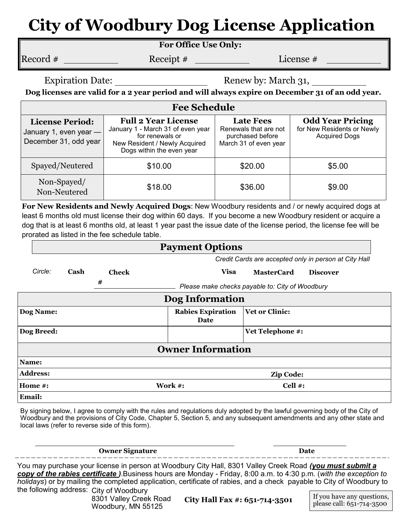# **City of Woodbury Dog License Application**

## **For Office Use Only:**

Record # Receipt # License #

Expiration Date: Renew by: March 31,

**Dog licenses are valid for a 2 year period and will always expire on December 31 of an odd year.**

| <b>Fee Schedule</b>                                                       |                                                                                                                                                  |                                                                                        |                                                                               |  |  |  |  |  |  |
|---------------------------------------------------------------------------|--------------------------------------------------------------------------------------------------------------------------------------------------|----------------------------------------------------------------------------------------|-------------------------------------------------------------------------------|--|--|--|--|--|--|
| <b>License Period:</b><br>January 1, even year -<br>December 31, odd year | <b>Full 2 Year License</b><br>January 1 - March 31 of even year<br>for renewals or<br>New Resident / Newly Acquired<br>Dogs within the even year | <b>Late Fees</b><br>Renewals that are not<br>purchased before<br>March 31 of even year | <b>Odd Year Pricing</b><br>for New Residents or Newly<br><b>Acquired Dogs</b> |  |  |  |  |  |  |
| Spayed/Neutered                                                           | \$10.00                                                                                                                                          | \$20.00                                                                                | \$5.00                                                                        |  |  |  |  |  |  |
| Non-Spayed/<br>Non-Neutered                                               | \$18.00                                                                                                                                          | \$36.00                                                                                | \$9.00                                                                        |  |  |  |  |  |  |

**For New Residents and Newly Acquired Dogs**: New Woodbury residents and / or newly acquired dogs at least 6 months old must license their dog within 60 days. If you become a new Woodbury resident or acquire a dog that is at least 6 months old, at least 1 year past the issue date of the license period, the license fee will be prorated as listed in the fee schedule table.

## **Payment Options**

|                          |      |       | Credit Cards are accepted only in person at City Hall |                                                 |                       |                 |  |  |
|--------------------------|------|-------|-------------------------------------------------------|-------------------------------------------------|-----------------------|-----------------|--|--|
| Circle:                  | Cash | Check |                                                       | Visa                                            | <b>MasterCard</b>     | <b>Discover</b> |  |  |
|                          |      | #     |                                                       | Please make checks payable to: City of Woodbury |                       |                 |  |  |
| Dog Information          |      |       |                                                       |                                                 |                       |                 |  |  |
| Dog Name:                |      |       |                                                       | <b>Rabies Expiration</b><br>Date                | <b>Vet or Clinic:</b> |                 |  |  |
| Dog Breed:               |      |       |                                                       |                                                 | Vet Telephone #:      |                 |  |  |
| <b>Owner Information</b> |      |       |                                                       |                                                 |                       |                 |  |  |
| Name:                    |      |       |                                                       |                                                 |                       |                 |  |  |
| <b>Address:</b>          |      |       |                                                       |                                                 | Zip Code:             |                 |  |  |
| Home #:                  |      |       |                                                       | Work #:<br>Cell #:                              |                       |                 |  |  |
| <b>Email:</b>            |      |       |                                                       |                                                 |                       |                 |  |  |

By signing below, I agree to comply with the rules and regulations duly adopted by the lawful governing body of the City of Woodbury and the provisions of City Code, Chapter 5, Section 5, and any subsequent amendments and any other state and local laws (refer to reverse side of this form).

### **Owner Signature Date Date Date**

You may purchase your license in person at Woodbury City Hall, 8301 Valley Creek Road *(you must submit a copy of the rabies certificate )*.Business hours are Monday - Friday, 8:00 a.m. to 4:30 p.m. (*with the exception to holidays*) or by mailing the completed application, certificate of rabies, and a check payable to City of Woodbury to the following address: City of Woodbury

8301 Valley Creek Road Woodbury, MN 55125

**City Hall Fax #: 651-714-3501** If you have any questions, please call: 651-714-3500